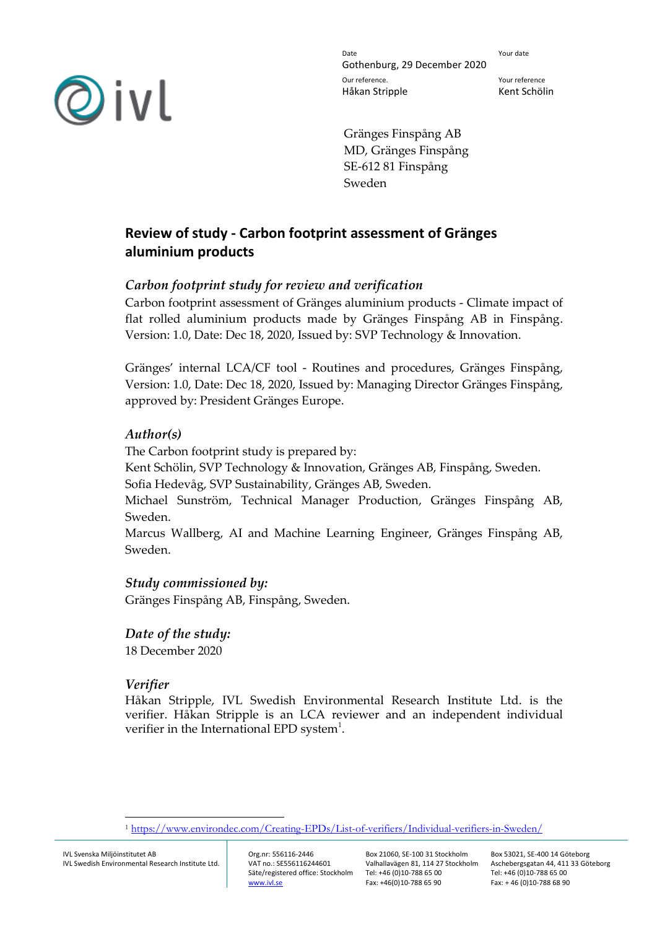

Date **Date** Your date Gothenburg, 29 December 2020 Our reference. Your reference Håkan Stripple Kent Schölin

Gränges Finspång AB MD, Gränges Finspång SE-612 81 Finspång Sweden

# **Review of study - Carbon footprint assessment of Gränges aluminium products**

## *Carbon footprint study for review and verification*

Carbon footprint assessment of Gränges aluminium products - Climate impact of flat rolled aluminium products made by Gränges Finspång AB in Finspång. Version: 1.0, Date: Dec 18, 2020, Issued by: SVP Technology & Innovation.

Gränges' internal LCA/CF tool - Routines and procedures, Gränges Finspång, Version: 1.0, Date: Dec 18, 2020, Issued by: Managing Director Gränges Finspång, approved by: President Gränges Europe.

### *Author(s)*

The Carbon footprint study is prepared by: Kent Schölin, SVP Technology & Innovation, Gränges AB, Finspång, Sweden. Sofia Hedevåg, SVP Sustainability, Gränges AB, Sweden. Michael Sunström, Technical Manager Production, Gränges Finspång AB,

Sweden. Marcus Wallberg, AI and Machine Learning Engineer, Gränges Finspång AB, Sweden.

# *Study commissioned by:*

Gränges Finspång AB, Finspång, Sweden.

### *Date of the study:*

18 December 2020

# *Verifier*

Håkan Stripple, IVL Swedish Environmental Research Institute Ltd. is the verifier. Håkan Stripple is an LCA reviewer and an independent individual verifier in the International EPD system<sup>1</sup>.

 $\overline{a}$ 

<sup>1</sup> <https://www.environdec.com/Creating-EPDs/List-of-verifiers/Individual-verifiers-in-Sweden/>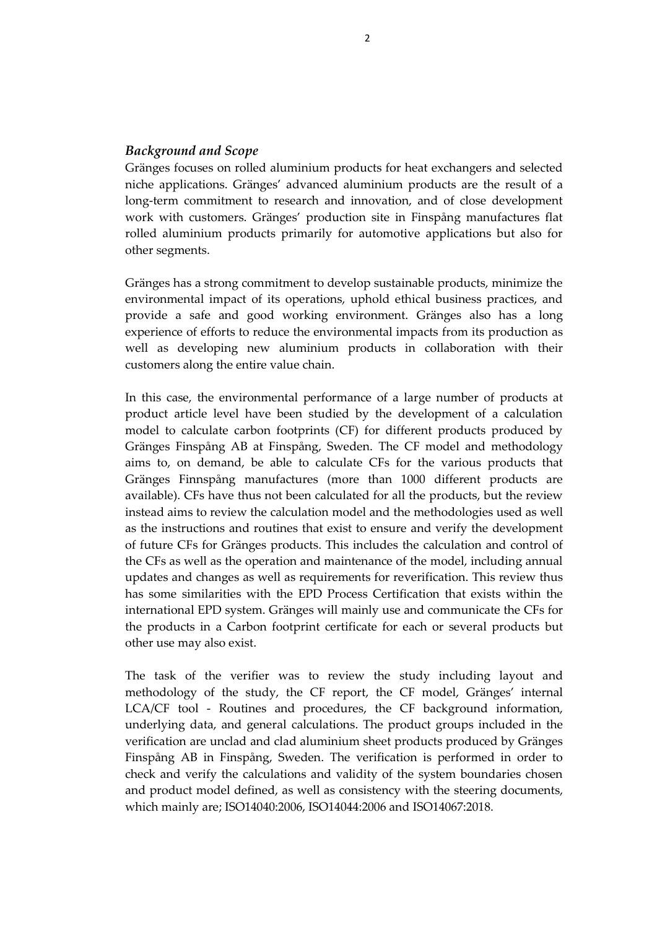### *Background and Scope*

Gränges focuses on rolled aluminium products for heat exchangers and selected niche applications. Gränges' advanced aluminium products are the result of a long-term commitment to research and innovation, and of close development work with customers. Gränges' production site in Finspång manufactures flat rolled aluminium products primarily for automotive applications but also for other segments.

Gränges has a strong commitment to develop sustainable products, minimize the environmental impact of its operations, uphold ethical business practices, and provide a safe and good working environment. Gränges also has a long experience of efforts to reduce the environmental impacts from its production as well as developing new aluminium products in collaboration with their customers along the entire value chain.

In this case, the environmental performance of a large number of products at product article level have been studied by the development of a calculation model to calculate carbon footprints (CF) for different products produced by Gränges Finspång AB at Finspång, Sweden. The CF model and methodology aims to, on demand, be able to calculate CFs for the various products that Gränges Finnspång manufactures (more than 1000 different products are available). CFs have thus not been calculated for all the products, but the review instead aims to review the calculation model and the methodologies used as well as the instructions and routines that exist to ensure and verify the development of future CFs for Gränges products. This includes the calculation and control of the CFs as well as the operation and maintenance of the model, including annual updates and changes as well as requirements for reverification. This review thus has some similarities with the EPD Process Certification that exists within the international EPD system. Gränges will mainly use and communicate the CFs for the products in a Carbon footprint certificate for each or several products but other use may also exist.

The task of the verifier was to review the study including layout and methodology of the study, the CF report, the CF model, Gränges' internal LCA/CF tool - Routines and procedures, the CF background information, underlying data, and general calculations. The product groups included in the verification are unclad and clad aluminium sheet products produced by Gränges Finspång AB in Finspång, Sweden. The verification is performed in order to check and verify the calculations and validity of the system boundaries chosen and product model defined, as well as consistency with the steering documents, which mainly are; ISO14040:2006, ISO14044:2006 and ISO14067:2018.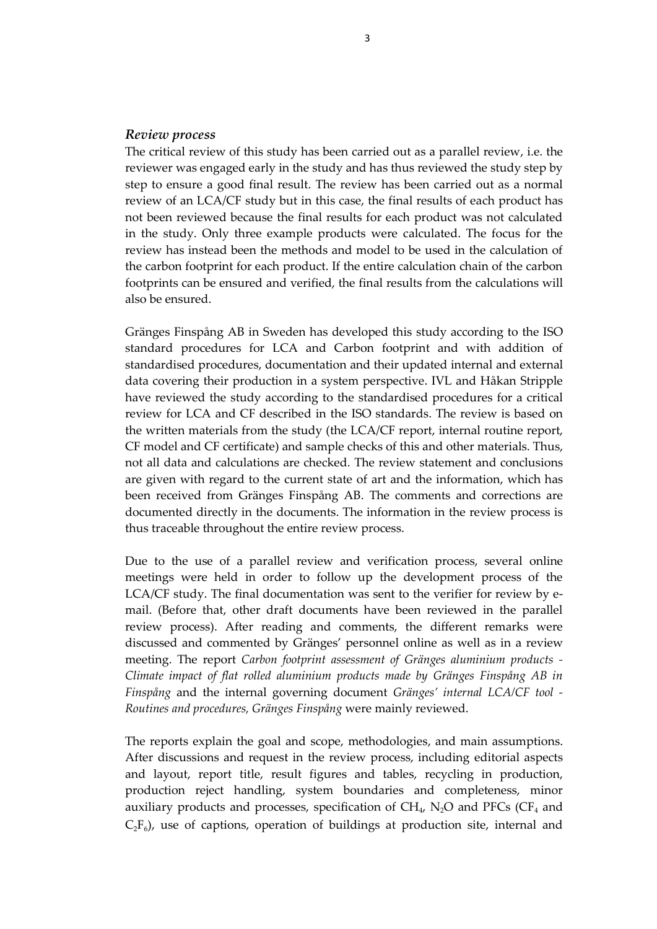#### *Review process*

The critical review of this study has been carried out as a parallel review, i.e. the reviewer was engaged early in the study and has thus reviewed the study step by step to ensure a good final result. The review has been carried out as a normal review of an LCA/CF study but in this case, the final results of each product has not been reviewed because the final results for each product was not calculated in the study. Only three example products were calculated. The focus for the review has instead been the methods and model to be used in the calculation of the carbon footprint for each product. If the entire calculation chain of the carbon footprints can be ensured and verified, the final results from the calculations will also be ensured.

Gränges Finspång AB in Sweden has developed this study according to the ISO standard procedures for LCA and Carbon footprint and with addition of standardised procedures, documentation and their updated internal and external data covering their production in a system perspective. IVL and Håkan Stripple have reviewed the study according to the standardised procedures for a critical review for LCA and CF described in the ISO standards. The review is based on the written materials from the study (the LCA/CF report, internal routine report, CF model and CF certificate) and sample checks of this and other materials. Thus, not all data and calculations are checked. The review statement and conclusions are given with regard to the current state of art and the information, which has been received from Gränges Finspång AB. The comments and corrections are documented directly in the documents. The information in the review process is thus traceable throughout the entire review process.

Due to the use of a parallel review and verification process, several online meetings were held in order to follow up the development process of the LCA/CF study. The final documentation was sent to the verifier for review by email. (Before that, other draft documents have been reviewed in the parallel review process). After reading and comments, the different remarks were discussed and commented by Gränges' personnel online as well as in a review meeting. The report *Carbon footprint assessment of Gränges aluminium products - Climate impact of flat rolled aluminium products made by Gränges Finspång AB in Finspång* and the internal governing document *Gränges' internal LCA/CF tool - Routines and procedures, Gränges Finspång* were mainly reviewed.

The reports explain the goal and scope, methodologies, and main assumptions. After discussions and request in the review process, including editorial aspects and layout, report title, result figures and tables, recycling in production, production reject handling, system boundaries and completeness, minor auxiliary products and processes, specification of  $\rm CH_{4}$ ,  $\rm N_{2}O$  and PFCs (CF<sub>4</sub> and  $C_2F_6$ ), use of captions, operation of buildings at production site, internal and